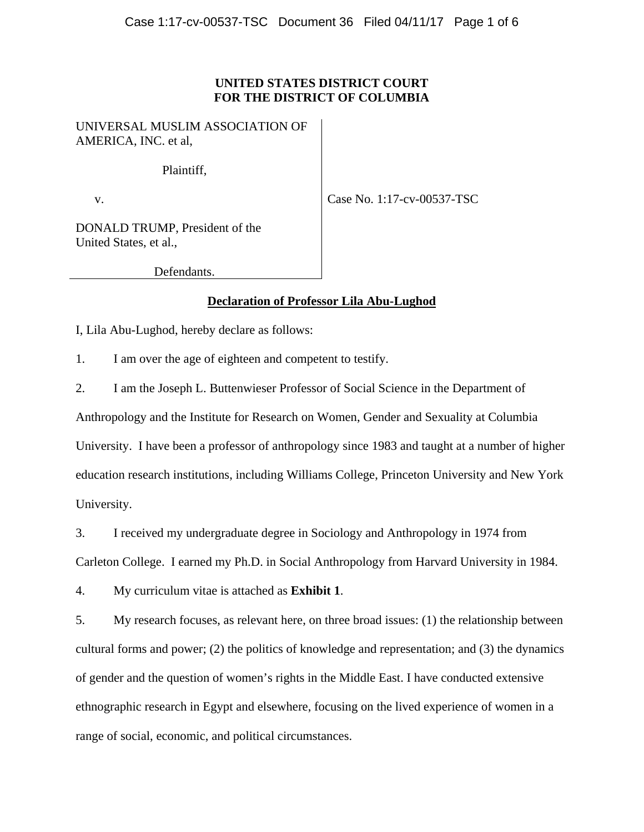## **UNITED STATES DISTRICT COURT FOR THE DISTRICT OF COLUMBIA**

UNIVERSAL MUSLIM ASSOCIATION OF AMERICA, INC. et al,

Plaintiff,

v.

Case No. 1:17-cv-00537-TSC

DONALD TRUMP, President of the United States, et al.,

Defendants.

## **Declaration of Professor Lila Abu-Lughod**

I, Lila Abu-Lughod, hereby declare as follows:

1. I am over the age of eighteen and competent to testify.

2. I am the Joseph L. Buttenwieser Professor of Social Science in the Department of

Anthropology and the Institute for Research on Women, Gender and Sexuality at Columbia University. I have been a professor of anthropology since 1983 and taught at a number of higher education research institutions, including Williams College, Princeton University and New York University.

3. I received my undergraduate degree in Sociology and Anthropology in 1974 from

Carleton College. I earned my Ph.D. in Social Anthropology from Harvard University in 1984.

4. My curriculum vitae is attached as **Exhibit 1**.

5. My research focuses, as relevant here, on three broad issues: (1) the relationship between cultural forms and power; (2) the politics of knowledge and representation; and (3) the dynamics of gender and the question of women's rights in the Middle East. I have conducted extensive ethnographic research in Egypt and elsewhere, focusing on the lived experience of women in a range of social, economic, and political circumstances.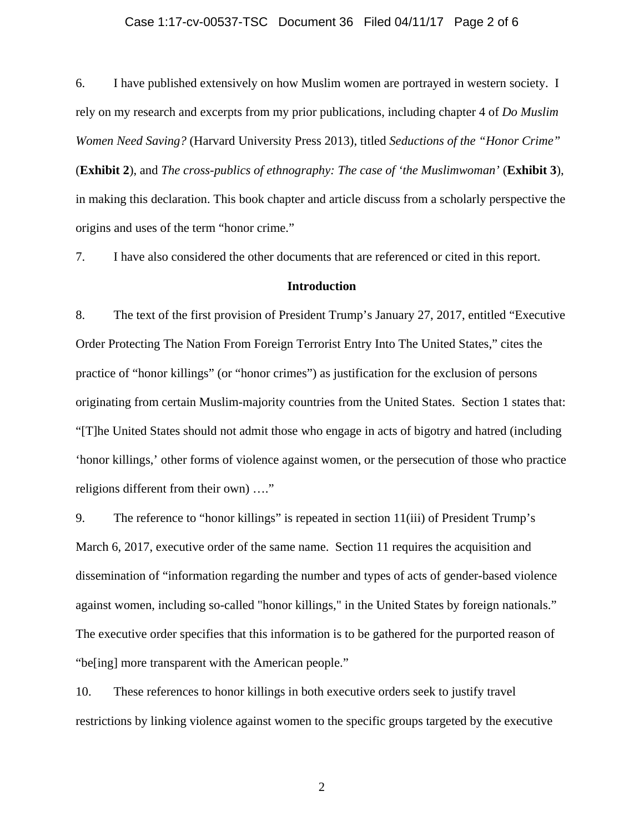#### Case 1:17-cv-00537-TSC Document 36 Filed 04/11/17 Page 2 of 6

6. I have published extensively on how Muslim women are portrayed in western society. I rely on my research and excerpts from my prior publications, including chapter 4 of *Do Muslim Women Need Saving?* (Harvard University Press 2013), titled *Seductions of the "Honor Crime"* (**Exhibit 2**), and *The cross-publics of ethnography: The case of 'the Muslimwoman'* (**Exhibit 3**), in making this declaration. This book chapter and article discuss from a scholarly perspective the origins and uses of the term "honor crime."

7. I have also considered the other documents that are referenced or cited in this report.

### **Introduction**

8. The text of the first provision of President Trump's January 27, 2017, entitled "Executive Order Protecting The Nation From Foreign Terrorist Entry Into The United States," cites the practice of "honor killings" (or "honor crimes") as justification for the exclusion of persons originating from certain Muslim-majority countries from the United States. Section 1 states that: "[T]he United States should not admit those who engage in acts of bigotry and hatred (including 'honor killings,' other forms of violence against women, or the persecution of those who practice religions different from their own) …."

9. The reference to "honor killings" is repeated in section 11(iii) of President Trump's March 6, 2017, executive order of the same name. Section 11 requires the acquisition and dissemination of "information regarding the number and types of acts of gender-based violence against women, including so-called "honor killings," in the United States by foreign nationals." The executive order specifies that this information is to be gathered for the purported reason of "be[ing] more transparent with the American people."

10. These references to honor killings in both executive orders seek to justify travel restrictions by linking violence against women to the specific groups targeted by the executive

2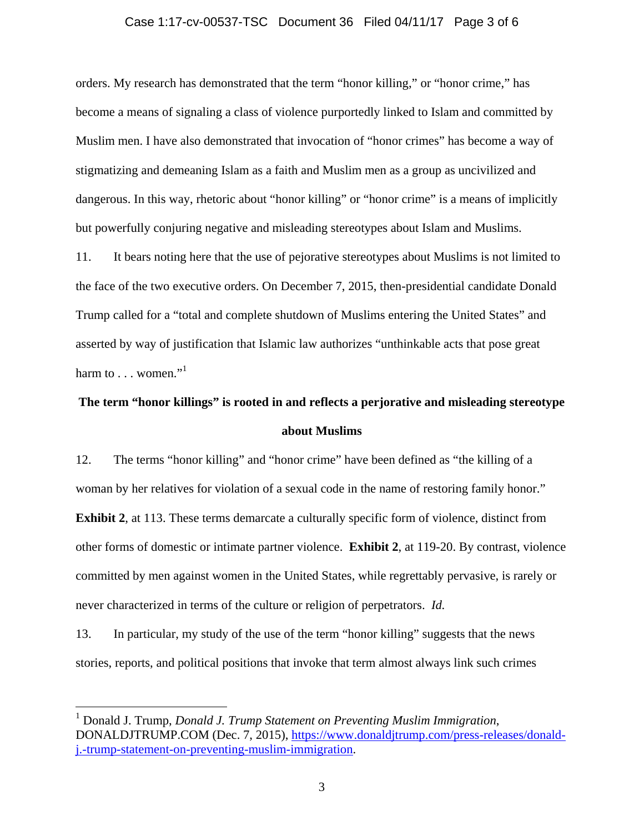#### Case 1:17-cv-00537-TSC Document 36 Filed 04/11/17 Page 3 of 6

orders. My research has demonstrated that the term "honor killing," or "honor crime," has become a means of signaling a class of violence purportedly linked to Islam and committed by Muslim men. I have also demonstrated that invocation of "honor crimes" has become a way of stigmatizing and demeaning Islam as a faith and Muslim men as a group as uncivilized and dangerous. In this way, rhetoric about "honor killing" or "honor crime" is a means of implicitly but powerfully conjuring negative and misleading stereotypes about Islam and Muslims.

11. It bears noting here that the use of pejorative stereotypes about Muslims is not limited to the face of the two executive orders. On December 7, 2015, then-presidential candidate Donald Trump called for a "total and complete shutdown of Muslims entering the United States" and asserted by way of justification that Islamic law authorizes "unthinkable acts that pose great harm to  $\ldots$  women."<sup>1</sup>

# **The term "honor killings" is rooted in and reflects a perjorative and misleading stereotype about Muslims**

12. The terms "honor killing" and "honor crime" have been defined as "the killing of a woman by her relatives for violation of a sexual code in the name of restoring family honor." **Exhibit 2,** at 113. These terms demarcate a culturally specific form of violence, distinct from other forms of domestic or intimate partner violence. **Exhibit 2**, at 119-20. By contrast, violence committed by men against women in the United States, while regrettably pervasive, is rarely or never characterized in terms of the culture or religion of perpetrators. *Id.* 

13. In particular, my study of the use of the term "honor killing" suggests that the news stories, reports, and political positions that invoke that term almost always link such crimes

 $\overline{a}$ 

<sup>&</sup>lt;sup>1</sup> Donald J. Trump, *Donald J. Trump Statement on Preventing Muslim Immigration*, DONALDJTRUMP.COM (Dec. 7, 2015), https://www.donaldjtrump.com/press-releases/donaldj.-trump-statement-on-preventing-muslim-immigration.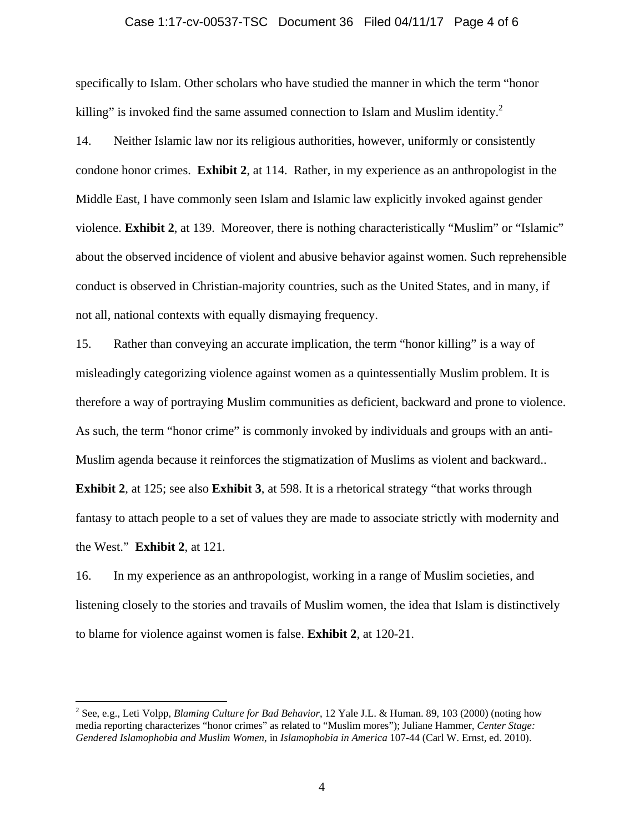#### Case 1:17-cv-00537-TSC Document 36 Filed 04/11/17 Page 4 of 6

specifically to Islam. Other scholars who have studied the manner in which the term "honor killing" is invoked find the same assumed connection to Islam and Muslim identity. $2^2$ 

14. Neither Islamic law nor its religious authorities, however, uniformly or consistently condone honor crimes. **Exhibit 2**, at 114. Rather, in my experience as an anthropologist in the Middle East, I have commonly seen Islam and Islamic law explicitly invoked against gender violence. **Exhibit 2**, at 139. Moreover, there is nothing characteristically "Muslim" or "Islamic" about the observed incidence of violent and abusive behavior against women. Such reprehensible conduct is observed in Christian-majority countries, such as the United States, and in many, if not all, national contexts with equally dismaying frequency.

15. Rather than conveying an accurate implication, the term "honor killing" is a way of misleadingly categorizing violence against women as a quintessentially Muslim problem. It is therefore a way of portraying Muslim communities as deficient, backward and prone to violence. As such, the term "honor crime" is commonly invoked by individuals and groups with an anti-Muslim agenda because it reinforces the stigmatization of Muslims as violent and backward.. **Exhibit 2**, at 125; see also **Exhibit 3**, at 598. It is a rhetorical strategy "that works through fantasy to attach people to a set of values they are made to associate strictly with modernity and the West." **Exhibit 2**, at 121.

16. In my experience as an anthropologist, working in a range of Muslim societies, and listening closely to the stories and travails of Muslim women, the idea that Islam is distinctively to blame for violence against women is false. **Exhibit 2**, at 120-21.

 $\overline{a}$ 

<sup>2</sup> See, e.g., Leti Volpp, *Blaming Culture for Bad Behavior*, 12 Yale J.L. & Human. 89, 103 (2000) (noting how media reporting characterizes "honor crimes" as related to "Muslim mores"); Juliane Hammer, *Center Stage: Gendered Islamophobia and Muslim Women*, in *Islamophobia in America* 107-44 (Carl W. Ernst, ed. 2010).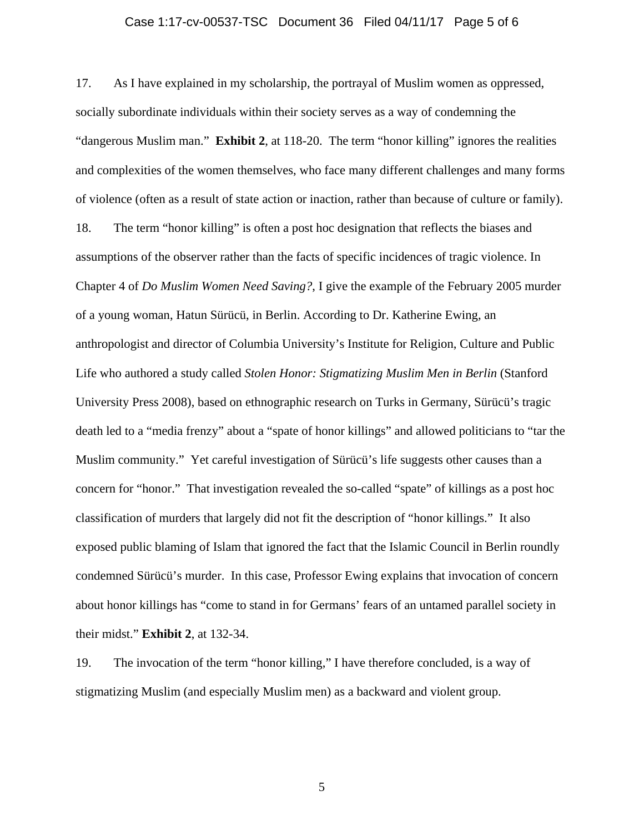#### Case 1:17-cv-00537-TSC Document 36 Filed 04/11/17 Page 5 of 6

17. As I have explained in my scholarship, the portrayal of Muslim women as oppressed, socially subordinate individuals within their society serves as a way of condemning the "dangerous Muslim man." **Exhibit 2**, at 118-20. The term "honor killing" ignores the realities and complexities of the women themselves, who face many different challenges and many forms of violence (often as a result of state action or inaction, rather than because of culture or family).

18. The term "honor killing" is often a post hoc designation that reflects the biases and assumptions of the observer rather than the facts of specific incidences of tragic violence. In Chapter 4 of *Do Muslim Women Need Saving?*, I give the example of the February 2005 murder of a young woman, Hatun Sürücü, in Berlin. According to Dr. Katherine Ewing, an anthropologist and director of Columbia University's Institute for Religion, Culture and Public Life who authored a study called *Stolen Honor: Stigmatizing Muslim Men in Berlin* (Stanford University Press 2008), based on ethnographic research on Turks in Germany, Sürücü's tragic death led to a "media frenzy" about a "spate of honor killings" and allowed politicians to "tar the Muslim community." Yet careful investigation of Sürücü's life suggests other causes than a concern for "honor." That investigation revealed the so-called "spate" of killings as a post hoc classification of murders that largely did not fit the description of "honor killings." It also exposed public blaming of Islam that ignored the fact that the Islamic Council in Berlin roundly condemned Sürücü's murder. In this case, Professor Ewing explains that invocation of concern about honor killings has "come to stand in for Germans' fears of an untamed parallel society in their midst." **Exhibit 2**, at 132-34.

19. The invocation of the term "honor killing," I have therefore concluded, is a way of stigmatizing Muslim (and especially Muslim men) as a backward and violent group.

5